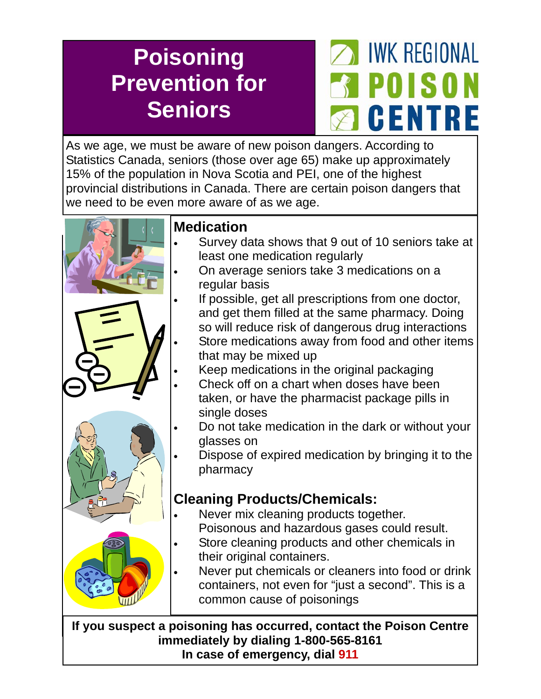## **Poisoning Prevention for Seniors**



As we age, we must be aware of new poison dangers. According to Statistics Canada, seniors (those over age 65) make up approximately 15% of the population in Nova Scotia and PEI, one of the highest provincial distributions in Canada. There are certain poison dangers that we need to be even more aware of as we age.



## **Medication**

- Survey data shows that 9 out of 10 seniors take at least one medication regularly
- On average seniors take 3 medications on a regular basis
- If possible, get all prescriptions from one doctor, and get them filled at the same pharmacy. Doing so will reduce risk of dangerous drug interactions Store medications away from food and other items that may be mixed up
- Keep medications in the original packaging
- Check off on a chart when doses have been taken, or have the pharmacist package pills in single doses
- Do not take medication in the dark or without your glasses on
- Dispose of expired medication by bringing it to the pharmacy

## **Cleaning Products/Chemicals:**

- Never mix cleaning products together. Poisonous and hazardous gases could result.
- Store cleaning products and other chemicals in their original containers.
- Never put chemicals or cleaners into food or drink containers, not even for "just a second". This is a common cause of poisonings

**If you suspect a poisoning has occurred, contact the Poison Centre immediately by dialing 1-800-565-8161 In case of emergency, dial 911**